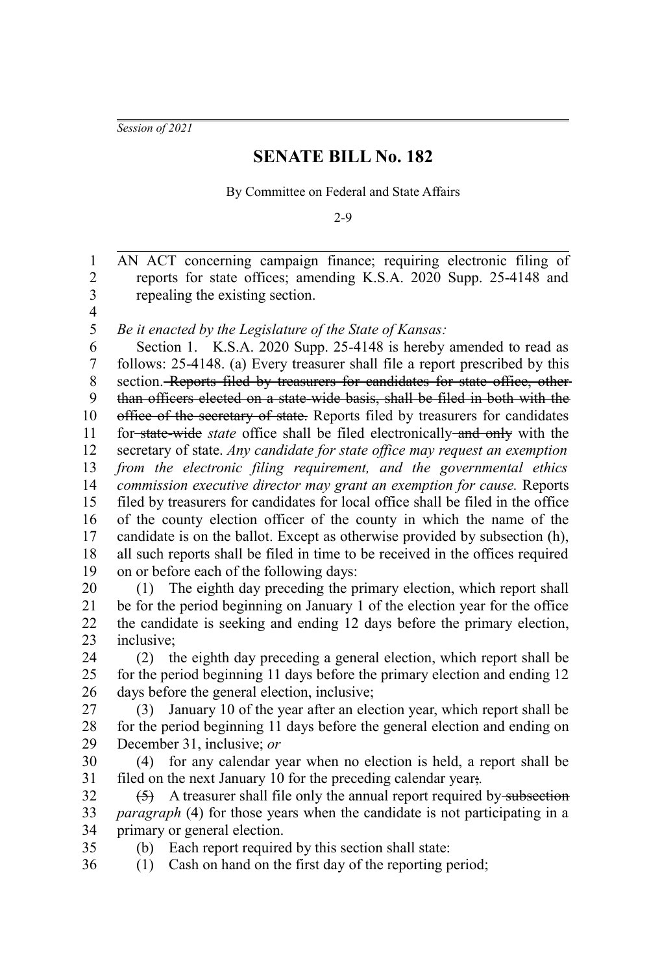*Session of 2021*

## **SENATE BILL No. 182**

By Committee on Federal and State Affairs

2-9

AN ACT concerning campaign finance; requiring electronic filing of reports for state offices; amending K.S.A. 2020 Supp. 25-4148 and repealing the existing section. *Be it enacted by the Legislature of the State of Kansas:* Section 1. K.S.A. 2020 Supp. 25-4148 is hereby amended to read as follows: 25-4148. (a) Every treasurer shall file a report prescribed by this section. Reports filed by treasurers for candidates for state office, otherthan officers elected on a state-wide basis, shall be filed in both with the office of the secretary of state. Reports filed by treasurers for candidates for state-wide *state* office shall be filed electronically and only with the secretary of state. *Any candidate for state office may request an exemption from the electronic filing requirement, and the governmental ethics commission executive director may grant an exemption for cause.* Reports filed by treasurers for candidates for local office shall be filed in the office of the county election officer of the county in which the name of the candidate is on the ballot. Except as otherwise provided by subsection (h), all such reports shall be filed in time to be received in the offices required on or before each of the following days: (1) The eighth day preceding the primary election, which report shall be for the period beginning on January 1 of the election year for the office the candidate is seeking and ending 12 days before the primary election, inclusive; (2) the eighth day preceding a general election, which report shall be for the period beginning 11 days before the primary election and ending 12 days before the general election, inclusive; (3) January 10 of the year after an election year, which report shall be for the period beginning 11 days before the general election and ending on December 31, inclusive; *or* (4) for any calendar year when no election is held, a report shall be filed on the next January 10 for the preceding calendar year;*.*  $(5)$  A treasurer shall file only the annual report required by subsection *paragraph* (4) for those years when the candidate is not participating in a primary or general election. (b) Each report required by this section shall state: (1) Cash on hand on the first day of the reporting period; 1 2 3 4 5 6 7 8 9 10 11 12 13 14 15 16 17 18 19 20 21 22 23 24 25 26 27 28 29 30 31 32 33 34 35 36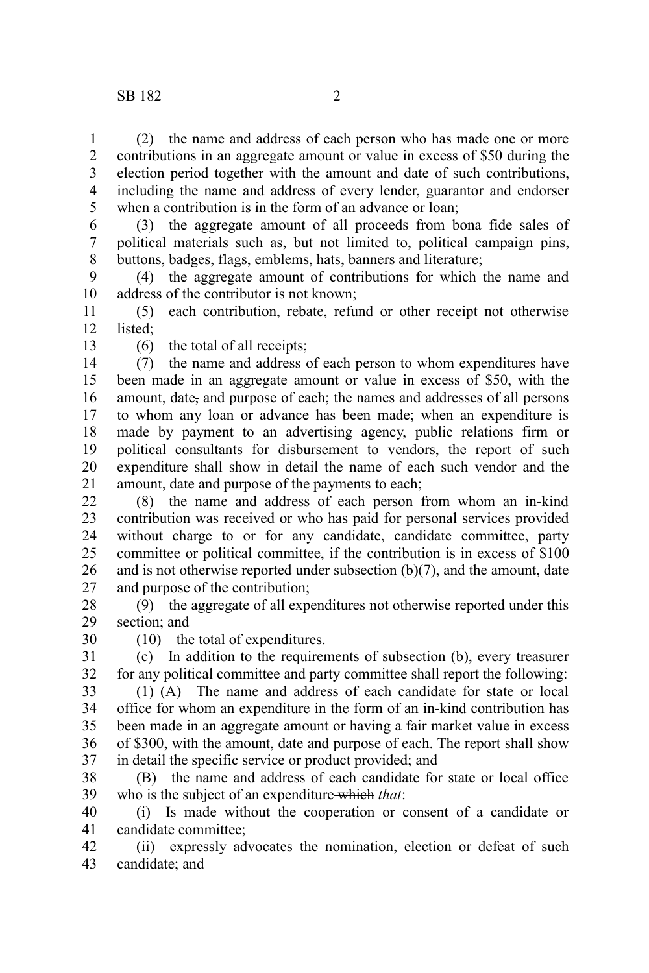(2) the name and address of each person who has made one or more contributions in an aggregate amount or value in excess of \$50 during the election period together with the amount and date of such contributions, including the name and address of every lender, guarantor and endorser when a contribution is in the form of an advance or loan: 1 2 3 4 5

(3) the aggregate amount of all proceeds from bona fide sales of political materials such as, but not limited to, political campaign pins, buttons, badges, flags, emblems, hats, banners and literature; 6 7 8

(4) the aggregate amount of contributions for which the name and address of the contributor is not known; 9 10

(5) each contribution, rebate, refund or other receipt not otherwise listed; 11 12

13

(6) the total of all receipts;

(10) the total of expenditures.

(7) the name and address of each person to whom expenditures have been made in an aggregate amount or value in excess of \$50, with the amount, date, and purpose of each; the names and addresses of all persons to whom any loan or advance has been made; when an expenditure is made by payment to an advertising agency, public relations firm or political consultants for disbursement to vendors, the report of such expenditure shall show in detail the name of each such vendor and the amount, date and purpose of the payments to each; 14 15 16 17 18 19 20 21

(8) the name and address of each person from whom an in-kind contribution was received or who has paid for personal services provided without charge to or for any candidate, candidate committee, party committee or political committee, if the contribution is in excess of \$100 and is not otherwise reported under subsection (b)(7), and the amount, date and purpose of the contribution;  $22$ 23 24 25 26 27

(9) the aggregate of all expenditures not otherwise reported under this section; and 28 29

30

(c) In addition to the requirements of subsection (b), every treasurer for any political committee and party committee shall report the following: 31 32

(1) (A) The name and address of each candidate for state or local office for whom an expenditure in the form of an in-kind contribution has been made in an aggregate amount or having a fair market value in excess of \$300, with the amount, date and purpose of each. The report shall show in detail the specific service or product provided; and 33 34 35 36 37

(B) the name and address of each candidate for state or local office who is the subject of an expenditure which *that*: 38 39

(i) Is made without the cooperation or consent of a candidate or candidate committee; 40 41

(ii) expressly advocates the nomination, election or defeat of such candidate; and 42 43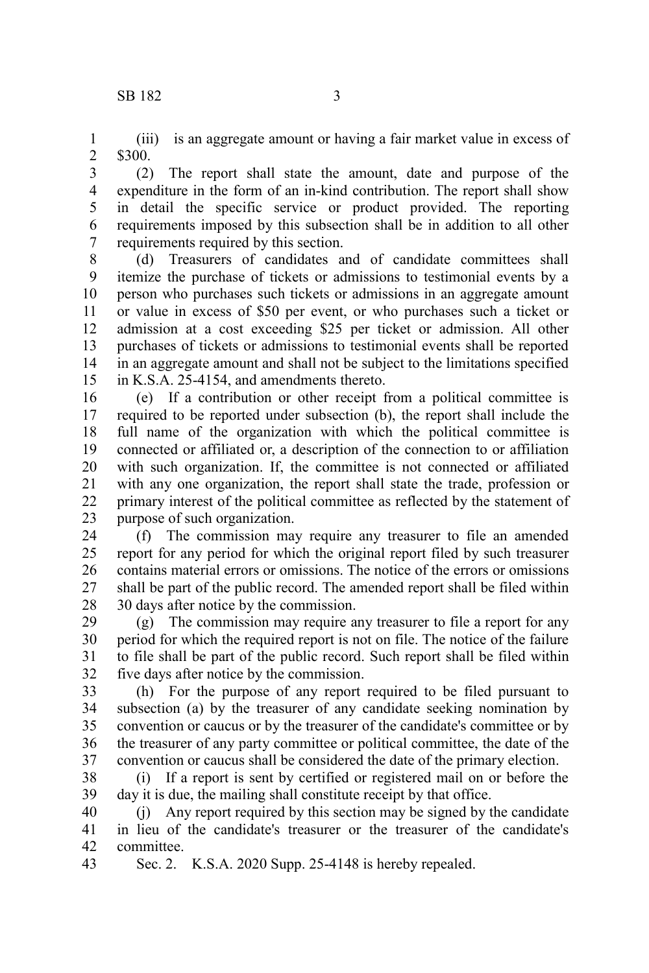(iii) is an aggregate amount or having a fair market value in excess of \$300. 1 2

(2) The report shall state the amount, date and purpose of the expenditure in the form of an in-kind contribution. The report shall show in detail the specific service or product provided. The reporting requirements imposed by this subsection shall be in addition to all other requirements required by this section. 3 4 5 6 7

(d) Treasurers of candidates and of candidate committees shall itemize the purchase of tickets or admissions to testimonial events by a person who purchases such tickets or admissions in an aggregate amount or value in excess of \$50 per event, or who purchases such a ticket or admission at a cost exceeding \$25 per ticket or admission. All other purchases of tickets or admissions to testimonial events shall be reported in an aggregate amount and shall not be subject to the limitations specified in K.S.A. 25-4154, and amendments thereto. 8 9 10 11 12 13 14 15

(e) If a contribution or other receipt from a political committee is required to be reported under subsection (b), the report shall include the full name of the organization with which the political committee is connected or affiliated or, a description of the connection to or affiliation with such organization. If, the committee is not connected or affiliated with any one organization, the report shall state the trade, profession or primary interest of the political committee as reflected by the statement of purpose of such organization. 16 17 18 19 20 21 22 23

(f) The commission may require any treasurer to file an amended report for any period for which the original report filed by such treasurer contains material errors or omissions. The notice of the errors or omissions shall be part of the public record. The amended report shall be filed within 30 days after notice by the commission. 24 25 26 27 28

(g) The commission may require any treasurer to file a report for any period for which the required report is not on file. The notice of the failure to file shall be part of the public record. Such report shall be filed within five days after notice by the commission. 29 30 31 32

(h) For the purpose of any report required to be filed pursuant to subsection (a) by the treasurer of any candidate seeking nomination by convention or caucus or by the treasurer of the candidate's committee or by the treasurer of any party committee or political committee, the date of the convention or caucus shall be considered the date of the primary election. 33 34 35 36 37

(i) If a report is sent by certified or registered mail on or before the day it is due, the mailing shall constitute receipt by that office. 38 39

(j) Any report required by this section may be signed by the candidate in lieu of the candidate's treasurer or the treasurer of the candidate's committee. 40 41 42

Sec. 2. K.S.A. 2020 Supp. 25-4148 is hereby repealed. 43